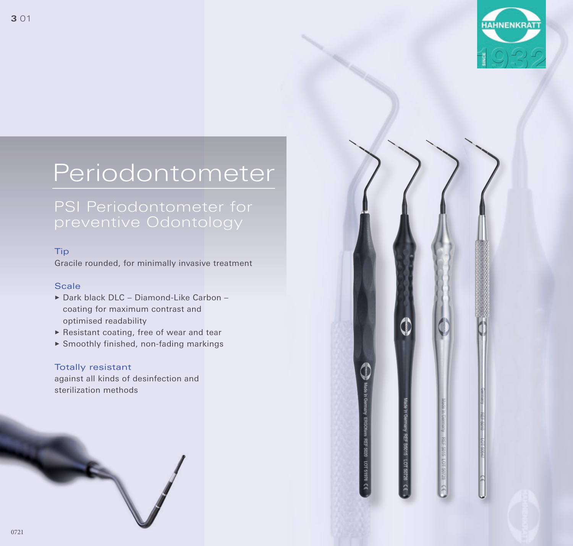

# Periodontometer

#### Tip

Gracile rounded, for minimally invasive treatment

### Feine, kugelförmige Spitze, gering Scale

- ▶ Dark black DLC Diamond-Like Carbon optimised readability coating for maximum contrast and
- ▶ Resistant coating, free of wear and tear
- $\blacktriangleright$  Smoothly finished, non-fading markings

#### Totally resistant

sterilization methods against all kinds of desinfection and